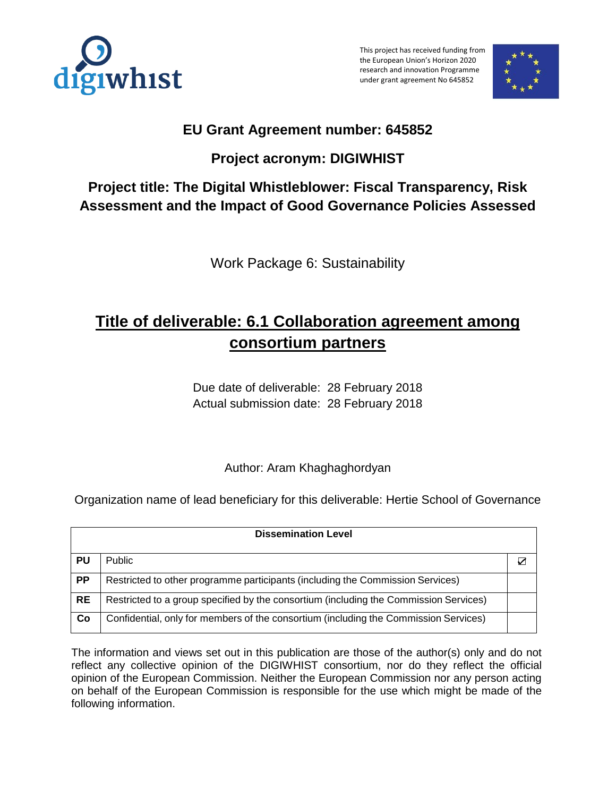

This project has received funding from the European Union's Horizon 2020 research and innovation Programme under grant agreement No 645852



## **EU Grant Agreement number: 645852**

# **Project acronym: DIGIWHIST**

# **Project title: The Digital Whistleblower: Fiscal Transparency, Risk Assessment and the Impact of Good Governance Policies Assessed**

Work Package 6: Sustainability

# **Title of deliverable: 6.1 Collaboration agreement among consortium partners**

Due date of deliverable: 28 February 2018 Actual submission date: 28 February 2018

Author: Aram Khaghaghordyan

Organization name of lead beneficiary for this deliverable: Hertie School of Governance

| <b>Dissemination Level</b> |                                                                                       |   |
|----------------------------|---------------------------------------------------------------------------------------|---|
| PU                         | <b>Public</b>                                                                         | ⊽ |
| <b>PP</b>                  | Restricted to other programme participants (including the Commission Services)        |   |
| <b>RE</b>                  | Restricted to a group specified by the consortium (including the Commission Services) |   |
| Co                         | Confidential, only for members of the consortium (including the Commission Services)  |   |

The information and views set out in this publication are those of the author(s) only and do not reflect any collective opinion of the DIGIWHIST consortium, nor do they reflect the official opinion of the European Commission. Neither the European Commission nor any person acting on behalf of the European Commission is responsible for the use which might be made of the following information.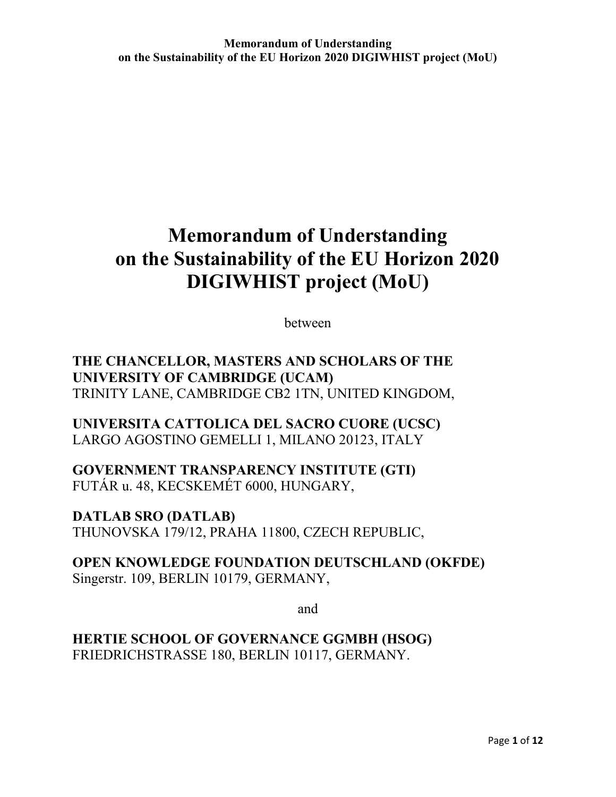between

**THE CHANCELLOR, MASTERS AND SCHOLARS OF THE UNIVERSITY OF CAMBRIDGE (UCAM)** TRINITY LANE, CAMBRIDGE CB2 1TN, UNITED KINGDOM,

**UNIVERSITA CATTOLICA DEL SACRO CUORE (UCSC)** LARGO AGOSTINO GEMELLI 1, MILANO 20123, ITALY

### **GOVERNMENT TRANSPARENCY INSTITUTE (GTI)** FUTÁR u. 48, KECSKEMÉT 6000, HUNGARY,

**DATLAB SRO (DATLAB)**  THUNOVSKA 179/12, PRAHA 11800, CZECH REPUBLIC,

## **OPEN KNOWLEDGE FOUNDATION DEUTSCHLAND (OKFDE)**  Singerstr. 109, BERLIN 10179, GERMANY,

and

**HERTIE SCHOOL OF GOVERNANCE GGMBH (HSOG)**  FRIEDRICHSTRASSE 180, BERLIN 10117, GERMANY.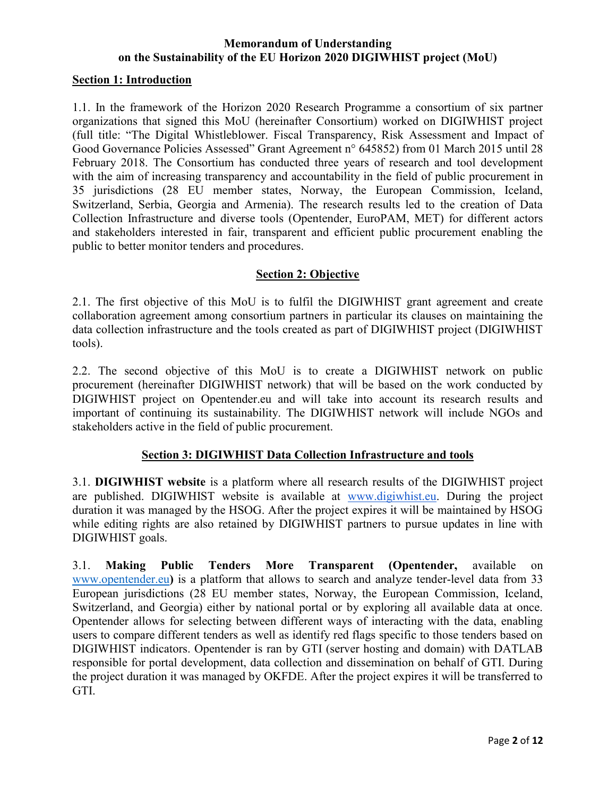#### **Section 1: Introduction**

1.1. In the framework of the Horizon 2020 Research Programme a consortium of six partner organizations that signed this MoU (hereinafter Consortium) worked on DIGIWHIST project (full title: "The Digital Whistleblower. Fiscal Transparency, Risk Assessment and Impact of Good Governance Policies Assessed" Grant Agreement n° 645852) from 01 March 2015 until 28 February 2018. The Consortium has conducted three years of research and tool development with the aim of increasing transparency and accountability in the field of public procurement in 35 jurisdictions (28 EU member states, Norway, the European Commission, Iceland, Switzerland, Serbia, Georgia and Armenia). The research results led to the creation of Data Collection Infrastructure and diverse tools (Opentender, EuroPAM, MET) for different actors and stakeholders interested in fair, transparent and efficient public procurement enabling the public to better monitor tenders and procedures.

#### **Section 2: Objective**

2.1. The first objective of this MoU is to fulfil the DIGIWHIST grant agreement and create collaboration agreement among consortium partners in particular its clauses on maintaining the data collection infrastructure and the tools created as part of DIGIWHIST project (DIGIWHIST tools).

2.2. The second objective of this MoU is to create a DIGIWHIST network on public procurement (hereinafter DIGIWHIST network) that will be based on the work conducted by DIGIWHIST project on Opentender.eu and will take into account its research results and important of continuing its sustainability. The DIGIWHIST network will include NGOs and stakeholders active in the field of public procurement.

#### **Section 3: DIGIWHIST Data Collection Infrastructure and tools**

3.1. **DIGIWHIST website** is a platform where all research results of the DIGIWHIST project are published. DIGIWHIST website is available at [www.digiwhist.eu.](http://www.digiwhist.eu/) During the project duration it was managed by the HSOG. After the project expires it will be maintained by HSOG while editing rights are also retained by DIGIWHIST partners to pursue updates in line with DIGIWHIST goals.

3.1. **Making Public Tenders More Transparent (Opentender,** available on [www.opentender.eu](http://www.opentender.eu/)**)** is a platform that allows to search and analyze tender-level data from 33 European jurisdictions (28 EU member states, Norway, the European Commission, Iceland, Switzerland, and Georgia) either by national portal or by exploring all available data at once. Opentender allows for selecting between different ways of interacting with the data, enabling users to compare different tenders as well as identify red flags specific to those tenders based on DIGIWHIST indicators. Opentender is ran by GTI (server hosting and domain) with DATLAB responsible for portal development, data collection and dissemination on behalf of GTI. During the project duration it was managed by OKFDE. After the project expires it will be transferred to GTI.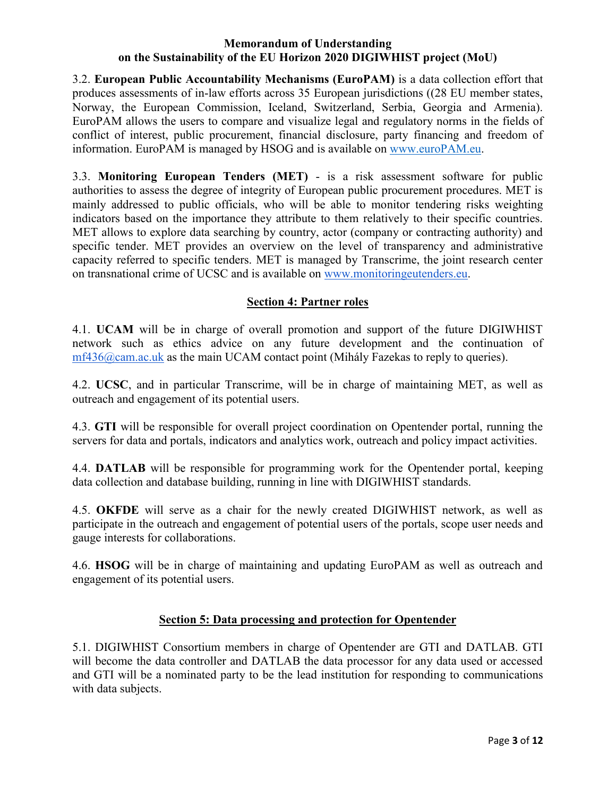3.2. **European Public Accountability Mechanisms (EuroPAM)** is a data collection effort that produces assessments of in-law efforts across 35 European jurisdictions ((28 EU member states, Norway, the European Commission, Iceland, Switzerland, Serbia, Georgia and Armenia). EuroPAM allows the users to compare and visualize legal and regulatory norms in the fields of conflict of interest, public procurement, financial disclosure, party financing and freedom of information. EuroPAM is managed by HSOG and is available on [www.euroPAM.eu.](http://www.europam.eu/)

3.3. **Monitoring European Tenders (MET)** - is a risk assessment software for public authorities to assess the degree of integrity of European public procurement procedures. MET is mainly addressed to public officials, who will be able to monitor tendering risks weighting indicators based on the importance they attribute to them relatively to their specific countries. MET allows to explore data searching by country, actor (company or contracting authority) and specific tender. MET provides an overview on the level of transparency and administrative capacity referred to specific tenders. MET is managed by Transcrime, the joint research center on transnational crime of UCSC and is available on [www.monitoringeutenders.eu.](http://www.monitoringeutenders.eu/)

#### **Section 4: Partner roles**

4.1. **UCAM** will be in charge of overall promotion and support of the future DIGIWHIST network such as ethics advice on any future development and the continuation of [mf436@cam.ac.uk](mailto:mf436@cam.ac.uk) as the main UCAM contact point (Mihály Fazekas to reply to queries).

4.2. **UCSC**, and in particular Transcrime, will be in charge of maintaining MET, as well as outreach and engagement of its potential users.

4.3. **GTI** will be responsible for overall project coordination on Opentender portal, running the servers for data and portals, indicators and analytics work, outreach and policy impact activities.

4.4. **DATLAB** will be responsible for programming work for the Opentender portal, keeping data collection and database building, running in line with DIGIWHIST standards.

4.5. **OKFDE** will serve as a chair for the newly created DIGIWHIST network, as well as participate in the outreach and engagement of potential users of the portals, scope user needs and gauge interests for collaborations.

4.6. **HSOG** will be in charge of maintaining and updating EuroPAM as well as outreach and engagement of its potential users.

#### **Section 5: Data processing and protection for Opentender**

5.1. DIGIWHIST Consortium members in charge of Opentender are GTI and DATLAB. GTI will become the data controller and DATLAB the data processor for any data used or accessed and GTI will be a nominated party to be the lead institution for responding to communications with data subjects.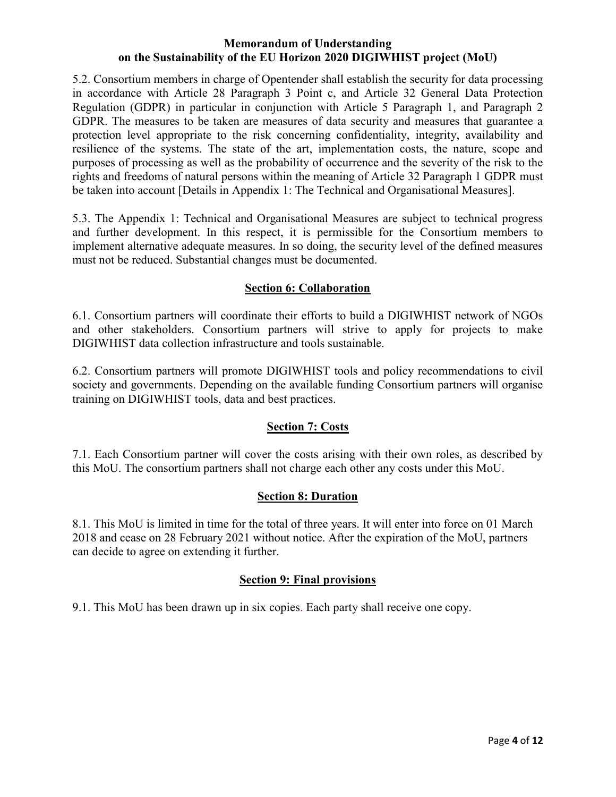5.2. Consortium members in charge of Opentender shall establish the security for data processing in accordance with Article 28 Paragraph 3 Point c, and Article 32 General Data Protection Regulation (GDPR) in particular in conjunction with Article 5 Paragraph 1, and Paragraph 2 GDPR. The measures to be taken are measures of data security and measures that guarantee a protection level appropriate to the risk concerning confidentiality, integrity, availability and resilience of the systems. The state of the art, implementation costs, the nature, scope and purposes of processing as well as the probability of occurrence and the severity of the risk to the rights and freedoms of natural persons within the meaning of Article 32 Paragraph 1 GDPR must be taken into account [Details in Appendix 1: The Technical and Organisational Measures].

5.3. The Appendix 1: Technical and Organisational Measures are subject to technical progress and further development. In this respect, it is permissible for the Consortium members to implement alternative adequate measures. In so doing, the security level of the defined measures must not be reduced. Substantial changes must be documented.

#### **Section 6: Collaboration**

6.1. Consortium partners will coordinate their efforts to build a DIGIWHIST network of NGOs and other stakeholders. Consortium partners will strive to apply for projects to make DIGIWHIST data collection infrastructure and tools sustainable.

6.2. Consortium partners will promote DIGIWHIST tools and policy recommendations to civil society and governments. Depending on the available funding Consortium partners will organise training on DIGIWHIST tools, data and best practices.

#### **Section 7: Costs**

7.1. Each Consortium partner will cover the costs arising with their own roles, as described by this MoU. The consortium partners shall not charge each other any costs under this MoU.

#### **Section 8: Duration**

8.1. This MoU is limited in time for the total of three years. It will enter into force on 01 March 2018 and cease on 28 February 2021 without notice. After the expiration of the MoU, partners can decide to agree on extending it further.

#### **Section 9: Final provisions**

9.1. This MoU has been drawn up in six copies. Each party shall receive one copy.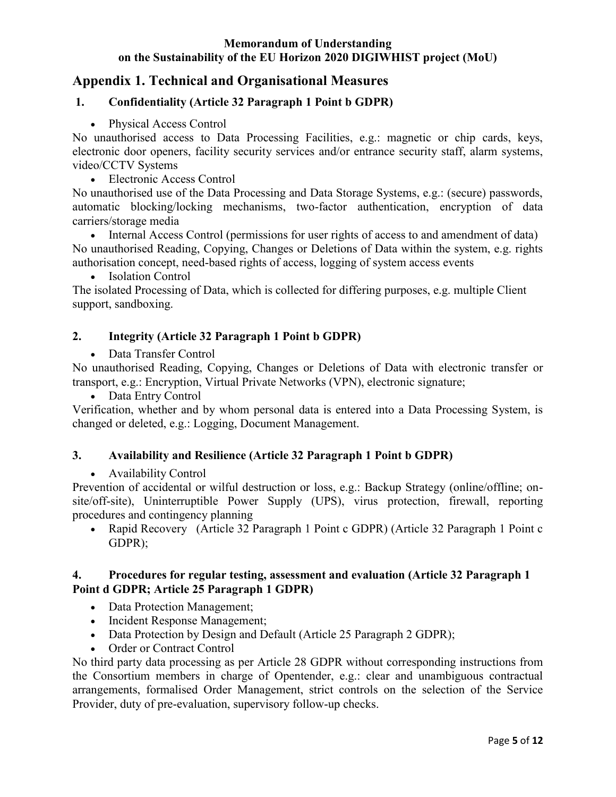### **Appendix 1. Technical and Organisational Measures**

#### **1. Confidentiality (Article 32 Paragraph 1 Point b GDPR)**

#### • Physical Access Control

No unauthorised access to Data Processing Facilities, e.g.: magnetic or chip cards, keys, electronic door openers, facility security services and/or entrance security staff, alarm systems, video/CCTV Systems

Electronic Access Control

No unauthorised use of the Data Processing and Data Storage Systems, e.g.: (secure) passwords, automatic blocking/locking mechanisms, two-factor authentication, encryption of data carriers/storage media

 Internal Access Control (permissions for user rights of access to and amendment of data) No unauthorised Reading, Copying, Changes or Deletions of Data within the system, e.g. rights authorisation concept, need-based rights of access, logging of system access events

• Isolation Control

The isolated Processing of Data, which is collected for differing purposes, e.g. multiple Client support, sandboxing.

#### **2. Integrity (Article 32 Paragraph 1 Point b GDPR)**

Data Transfer Control

No unauthorised Reading, Copying, Changes or Deletions of Data with electronic transfer or transport, e.g.: Encryption, Virtual Private Networks (VPN), electronic signature;

• Data Entry Control

Verification, whether and by whom personal data is entered into a Data Processing System, is changed or deleted, e.g.: Logging, Document Management.

#### **3. Availability and Resilience (Article 32 Paragraph 1 Point b GDPR)**

Availability Control

Prevention of accidental or wilful destruction or loss, e.g.: Backup Strategy (online/offline; onsite/off-site), Uninterruptible Power Supply (UPS), virus protection, firewall, reporting procedures and contingency planning

• Rapid Recovery (Article 32 Paragraph 1 Point c GDPR) (Article 32 Paragraph 1 Point c GDPR);

#### **4. Procedures for regular testing, assessment and evaluation (Article 32 Paragraph 1 Point d GDPR; Article 25 Paragraph 1 GDPR)**

- Data Protection Management;
- Incident Response Management;
- Data Protection by Design and Default (Article 25 Paragraph 2 GDPR);
- Order or Contract Control

No third party data processing as per Article 28 GDPR without corresponding instructions from the Consortium members in charge of Opentender, e.g.: clear and unambiguous contractual arrangements, formalised Order Management, strict controls on the selection of the Service Provider, duty of pre-evaluation, supervisory follow-up checks.